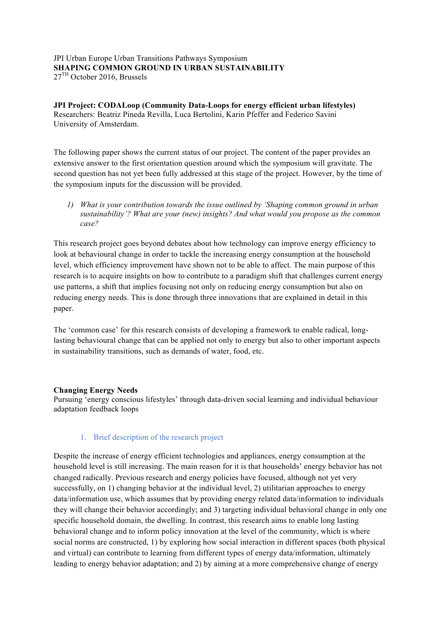JPI Urban Europe Urban Transitions Pathways Symposium **SHAPING COMMON GROUND IN URBAN SUSTAINABILITY** 27TH October 2016, Brussels

**JPI Project: CODALoop (Community Data-Loops for energy efficient urban lifestyles)** Researchers: Beatriz Pineda Revilla, Luca Bertolini, Karin Pfeffer and Federico Savini University of Amsterdam.

The following paper shows the current status of our project. The content of the paper provides an extensive answer to the first orientation question around which the symposium will gravitate. The second question has not yet been fully addressed at this stage of the project. However, by the time of the symposium inputs for the discussion will be provided.

*1) What is your contribution towards the issue outlined by 'Shaping common ground in urban sustainability'? What are your (new) insights? And what would you propose as the common case?* 

This research project goes beyond debates about how technology can improve energy efficiency to look at behavioural change in order to tackle the increasing energy consumption at the household level, which efficiency improvement have shown not to be able to affect. The main purpose of this research is to acquire insights on how to contribute to a paradigm shift that challenges current energy use patterns, a shift that implies focusing not only on reducing energy consumption but also on reducing energy needs. This is done through three innovations that are explained in detail in this paper.

The 'common case' for this research consists of developing a framework to enable radical, longlasting behavioural change that can be applied not only to energy but also to other important aspects in sustainability transitions, such as demands of water, food, etc.

### **Changing Energy Needs**

Pursuing 'energy conscious lifestyles' through data-driven social learning and individual behaviour adaptation feedback loops

### 1. Brief description of the research project

Despite the increase of energy efficient technologies and appliances, energy consumption at the household level is still increasing. The main reason for it is that households' energy behavior has not changed radically. Previous research and energy policies have focused, although not yet very successfully, on 1) changing behavior at the individual level, 2) utilitarian approaches to energy data/information use, which assumes that by providing energy related data/information to individuals they will change their behavior accordingly; and 3) targeting individual behavioral change in only one specific household domain, the dwelling. In contrast, this research aims to enable long lasting behavioral change and to inform policy innovation at the level of the community, which is where social norms are constructed, 1) by exploring how social interaction in different spaces (both physical and virtual) can contribute to learning from different types of energy data/information, ultimately leading to energy behavior adaptation; and 2) by aiming at a more comprehensive change of energy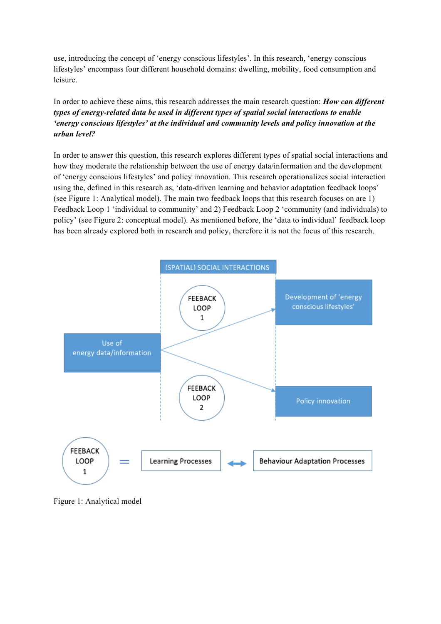use, introducing the concept of 'energy conscious lifestyles'. In this research, 'energy conscious lifestyles' encompass four different household domains: dwelling, mobility, food consumption and leisure.

# In order to achieve these aims, this research addresses the main research question: *How can different types of energy-related data be used in different types of spatial social interactions to enable 'energy conscious lifestyles' at the individual and community levels and policy innovation at the urban level?*

In order to answer this question, this research explores different types of spatial social interactions and how they moderate the relationship between the use of energy data/information and the development of 'energy conscious lifestyles' and policy innovation. This research operationalizes social interaction using the, defined in this research as, 'data-driven learning and behavior adaptation feedback loops' (see Figure 1: Analytical model). The main two feedback loops that this research focuses on are 1) Feedback Loop 1 'individual to community' and 2) Feedback Loop 2 'community (and individuals) to policy' (see Figure 2: conceptual model). As mentioned before, the 'data to individual' feedback loop has been already explored both in research and policy, therefore it is not the focus of this research.



Figure 1: Analytical model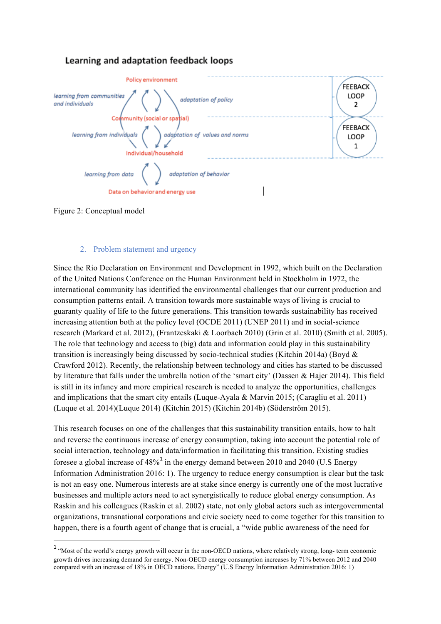# Learning and adaptation feedback loops



Figure 2: Conceptual model

 

## 2. Problem statement and urgency

Since the Rio Declaration on Environment and Development in 1992, which built on the Declaration of the United Nations Conference on the Human Environment held in Stockholm in 1972, the international community has identified the environmental challenges that our current production and consumption patterns entail. A transition towards more sustainable ways of living is crucial to guaranty quality of life to the future generations. This transition towards sustainability has received increasing attention both at the policy level (OCDE 2011) (UNEP 2011) and in social-science research (Markard et al. 2012), (Frantzeskaki & Loorbach 2010) (Grin et al. 2010) (Smith et al. 2005). The role that technology and access to (big) data and information could play in this sustainability transition is increasingly being discussed by socio-technical studies (Kitchin 2014a) (Boyd & Crawford 2012). Recently, the relationship between technology and cities has started to be discussed by literature that falls under the umbrella notion of the 'smart city' (Dassen & Hajer 2014). This field is still in its infancy and more empirical research is needed to analyze the opportunities, challenges and implications that the smart city entails (Luque-Ayala & Marvin 2015; (Caragliu et al. 2011) (Luque et al. 2014)(Luque 2014) (Kitchin 2015) (Kitchin 2014b) (Söderström 2015).

This research focuses on one of the challenges that this sustainability transition entails, how to halt and reverse the continuous increase of energy consumption, taking into account the potential role of social interaction, technology and data/information in facilitating this transition. Existing studies foresee a global increase of  $48\%$ <sup>1</sup> in the energy demand between 2010 and 2040 (U.S Energy Information Administration 2016: 1). The urgency to reduce energy consumption is clear but the task is not an easy one. Numerous interests are at stake since energy is currently one of the most lucrative businesses and multiple actors need to act synergistically to reduce global energy consumption. As Raskin and his colleagues (Raskin et al. 2002) state, not only global actors such as intergovernmental organizations, transnational corporations and civic society need to come together for this transition to happen, there is a fourth agent of change that is crucial, a "wide public awareness of the need for

<sup>&</sup>lt;sup>1</sup> "Most of the world's energy growth will occur in the non-OECD nations, where relatively strong, long- term economic growth drives increasing demand for energy. Non-OECD energy consumption increases by 71% between 2012 and 2040 compared with an increase of 18% in OECD nations. Energy" (U.S Energy Information Administration 2016: 1)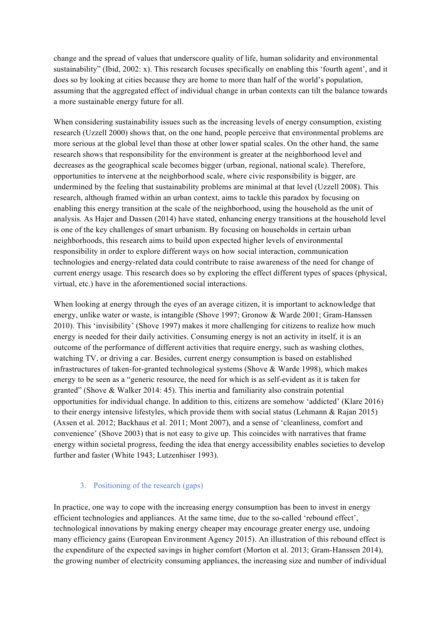change and the spread of values that underscore quality of life, human solidarity and environmental sustainability" (Ibid, 2002: x). This research focuses specifically on enabling this 'fourth agent', and it does so by looking at cities because they are home to more than half of the world's population, assuming that the aggregated effect of individual change in urban contexts can tilt the balance towards a more sustainable energy future for all.

When considering sustainability issues such as the increasing levels of energy consumption, existing research (Uzzell 2000) shows that, on the one hand, people perceive that environmental problems are more serious at the global level than those at other lower spatial scales. On the other hand, the same research shows that responsibility for the environment is greater at the neighborhood level and decreases as the geographical scale becomes bigger (urban, regional, national scale). Therefore, opportunities to intervene at the neighborhood scale, where civic responsibility is bigger, are undermined by the feeling that sustainability problems are minimal at that level (Uzzell 2008). This research, although framed within an urban context, aims to tackle this paradox by focusing on enabling this energy transition at the scale of the neighborhood, using the household as the unit of analysis. As Hajer and Dassen (2014) have stated, enhancing energy transitions at the household level is one of the key challenges of smart urbanism. By focusing on households in certain urban neighborhoods, this research aims to build upon expected higher levels of environmental responsibility in order to explore different ways on how social interaction, communication technologies and energy-related data could contribute to raise awareness of the need for change of current energy usage. This research does so by exploring the effect different types of spaces (physical, virtual, etc.) have in the aforementioned social interactions.

When looking at energy through the eyes of an average citizen, it is important to acknowledge that energy, unlike water or waste, is intangible (Shove 1997; Gronow & Warde 2001; Gram-Hanssen 2010). This 'invisibility' (Shove 1997) makes it more challenging for citizens to realize how much energy is needed for their daily activities. Consuming energy is not an activity in itself, it is an outcome of the performance of different activities that require energy, such as washing clothes, watching TV, or driving a car. Besides, current energy consumption is based on established infrastructures of taken-for-granted technological systems (Shove & Warde 1998), which makes energy to be seen as a "generic resource, the need for which is as self-evident as it is taken for granted" (Shove & Walker 2014: 45). This inertia and familiarity also constrain potential opportunities for individual change. In addition to this, citizens are somehow 'addicted' (Klare 2016) to their energy intensive lifestyles, which provide them with social status (Lehmann & Rajan 2015) (Axsen et al. 2012; Backhaus et al. 2011; Mont 2007), and a sense of 'cleanliness, comfort and convenience' (Shove 2003) that is not easy to give up. This coincides with narratives that frame energy within societal progress, feeding the idea that energy accessibility enables societies to develop further and faster (White 1943; Lutzenhiser 1993).

# 3. Positioning of the research (gaps)

In practice, one way to cope with the increasing energy consumption has been to invest in energy efficient technologies and appliances. At the same time, due to the so-called 'rebound effect', technological innovations by making energy cheaper may encourage greater energy use, undoing many efficiency gains (European Environment Agency 2015). An illustration of this rebound effect is the expenditure of the expected savings in higher comfort (Morton et al. 2013; Gram-Hanssen 2014), the growing number of electricity consuming appliances, the increasing size and number of individual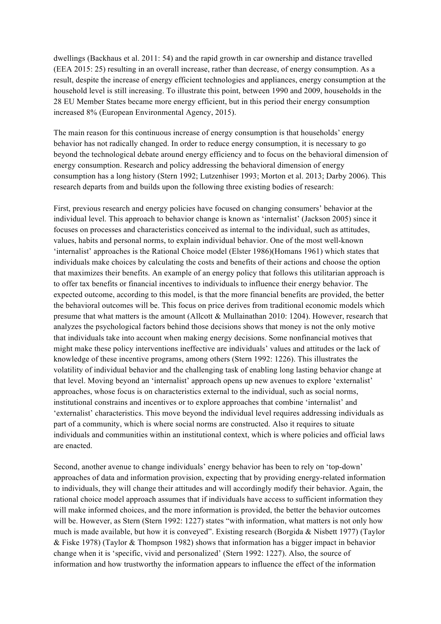dwellings (Backhaus et al. 2011: 54) and the rapid growth in car ownership and distance travelled (EEA 2015: 25) resulting in an overall increase, rather than decrease, of energy consumption. As a result, despite the increase of energy efficient technologies and appliances, energy consumption at the household level is still increasing. To illustrate this point, between 1990 and 2009, households in the 28 EU Member States became more energy efficient, but in this period their energy consumption increased 8% (European Environmental Agency, 2015).

The main reason for this continuous increase of energy consumption is that households' energy behavior has not radically changed. In order to reduce energy consumption, it is necessary to go beyond the technological debate around energy efficiency and to focus on the behavioral dimension of energy consumption. Research and policy addressing the behavioral dimension of energy consumption has a long history (Stern 1992; Lutzenhiser 1993; Morton et al. 2013; Darby 2006). This research departs from and builds upon the following three existing bodies of research:

First, previous research and energy policies have focused on changing consumers' behavior at the individual level. This approach to behavior change is known as 'internalist' (Jackson 2005) since it focuses on processes and characteristics conceived as internal to the individual, such as attitudes, values, habits and personal norms, to explain individual behavior. One of the most well-known 'internalist' approaches is the Rational Choice model (Elster 1986)(Homans 1961) which states that individuals make choices by calculating the costs and benefits of their actions and choose the option that maximizes their benefits. An example of an energy policy that follows this utilitarian approach is to offer tax benefits or financial incentives to individuals to influence their energy behavior. The expected outcome, according to this model, is that the more financial benefits are provided, the better the behavioral outcomes will be. This focus on price derives from traditional economic models which presume that what matters is the amount (Allcott & Mullainathan 2010: 1204). However, research that analyzes the psychological factors behind those decisions shows that money is not the only motive that individuals take into account when making energy decisions. Some nonfinancial motives that might make these policy interventions ineffective are individuals' values and attitudes or the lack of knowledge of these incentive programs, among others (Stern 1992: 1226). This illustrates the volatility of individual behavior and the challenging task of enabling long lasting behavior change at that level. Moving beyond an 'internalist' approach opens up new avenues to explore 'externalist' approaches, whose focus is on characteristics external to the individual, such as social norms, institutional constrains and incentives or to explore approaches that combine 'internalist' and 'externalist' characteristics. This move beyond the individual level requires addressing individuals as part of a community, which is where social norms are constructed. Also it requires to situate individuals and communities within an institutional context, which is where policies and official laws are enacted.

Second, another avenue to change individuals' energy behavior has been to rely on 'top-down' approaches of data and information provision, expecting that by providing energy-related information to individuals, they will change their attitudes and will accordingly modify their behavior. Again, the rational choice model approach assumes that if individuals have access to sufficient information they will make informed choices, and the more information is provided, the better the behavior outcomes will be. However, as Stern (Stern 1992: 1227) states "with information, what matters is not only how much is made available, but how it is conveyed". Existing research (Borgida & Nisbett 1977) (Taylor & Fiske 1978) (Taylor & Thompson 1982) shows that information has a bigger impact in behavior change when it is 'specific, vivid and personalized' (Stern 1992: 1227). Also, the source of information and how trustworthy the information appears to influence the effect of the information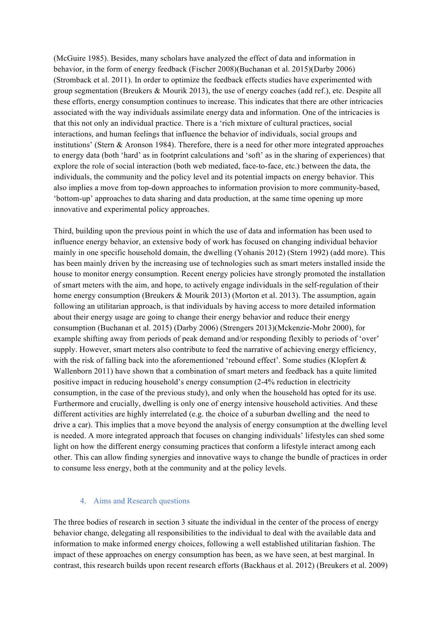(McGuire 1985). Besides, many scholars have analyzed the effect of data and information in behavior, in the form of energy feedback (Fischer 2008)(Buchanan et al. 2015)(Darby 2006) (Stromback et al. 2011). In order to optimize the feedback effects studies have experimented with group segmentation (Breukers & Mourik 2013), the use of energy coaches (add ref.), etc. Despite all these efforts, energy consumption continues to increase. This indicates that there are other intricacies associated with the way individuals assimilate energy data and information. One of the intricacies is that this not only an individual practice. There is a 'rich mixture of cultural practices, social interactions, and human feelings that influence the behavior of individuals, social groups and institutions' (Stern & Aronson 1984). Therefore, there is a need for other more integrated approaches to energy data (both 'hard' as in footprint calculations and 'soft' as in the sharing of experiences) that explore the role of social interaction (both web mediated, face-to-face, etc.) between the data, the individuals, the community and the policy level and its potential impacts on energy behavior. This also implies a move from top-down approaches to information provision to more community-based, 'bottom-up' approaches to data sharing and data production, at the same time opening up more innovative and experimental policy approaches.

Third, building upon the previous point in which the use of data and information has been used to influence energy behavior, an extensive body of work has focused on changing individual behavior mainly in one specific household domain, the dwelling (Yohanis 2012) (Stern 1992) (add more). This has been mainly driven by the increasing use of technologies such as smart meters installed inside the house to monitor energy consumption. Recent energy policies have strongly promoted the installation of smart meters with the aim, and hope, to actively engage individuals in the self-regulation of their home energy consumption (Breukers & Mourik 2013) (Morton et al. 2013). The assumption, again following an utilitarian approach, is that individuals by having access to more detailed information about their energy usage are going to change their energy behavior and reduce their energy consumption (Buchanan et al. 2015) (Darby 2006) (Strengers 2013)(Mckenzie-Mohr 2000), for example shifting away from periods of peak demand and/or responding flexibly to periods of 'over' supply. However, smart meters also contribute to feed the narrative of achieving energy efficiency, with the risk of falling back into the aforementioned 'rebound effect'. Some studies (Klopfert & Wallenborn 2011) have shown that a combination of smart meters and feedback has a quite limited positive impact in reducing household's energy consumption (2-4% reduction in electricity consumption, in the case of the previous study), and only when the household has opted for its use. Furthermore and crucially, dwelling is only one of energy intensive household activities. And these different activities are highly interrelated (e.g. the choice of a suburban dwelling and the need to drive a car). This implies that a move beyond the analysis of energy consumption at the dwelling level is needed. A more integrated approach that focuses on changing individuals' lifestyles can shed some light on how the different energy consuming practices that conform a lifestyle interact among each other. This can allow finding synergies and innovative ways to change the bundle of practices in order to consume less energy, both at the community and at the policy levels.

### 4. Aims and Research questions

The three bodies of research in section 3 situate the individual in the center of the process of energy behavior change, delegating all responsibilities to the individual to deal with the available data and information to make informed energy choices, following a well established utilitarian fashion. The impact of these approaches on energy consumption has been, as we have seen, at best marginal. In contrast, this research builds upon recent research efforts (Backhaus et al. 2012) (Breukers et al. 2009)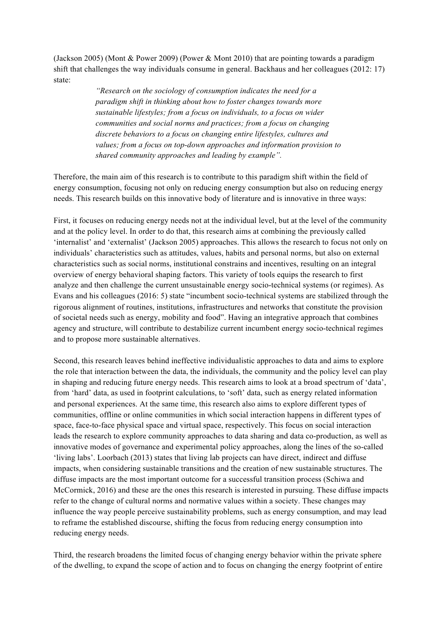(Jackson 2005) (Mont & Power 2009) (Power & Mont 2010) that are pointing towards a paradigm shift that challenges the way individuals consume in general. Backhaus and her colleagues (2012: 17) state:

> *"Research on the sociology of consumption indicates the need for a paradigm shift in thinking about how to foster changes towards more sustainable lifestyles; from a focus on individuals, to a focus on wider communities and social norms and practices; from a focus on changing discrete behaviors to a focus on changing entire lifestyles, cultures and values; from a focus on top-down approaches and information provision to shared community approaches and leading by example".*

Therefore, the main aim of this research is to contribute to this paradigm shift within the field of energy consumption, focusing not only on reducing energy consumption but also on reducing energy needs. This research builds on this innovative body of literature and is innovative in three ways:

First, it focuses on reducing energy needs not at the individual level, but at the level of the community and at the policy level. In order to do that, this research aims at combining the previously called 'internalist' and 'externalist' (Jackson 2005) approaches. This allows the research to focus not only on individuals' characteristics such as attitudes, values, habits and personal norms, but also on external characteristics such as social norms, institutional constrains and incentives, resulting on an integral overview of energy behavioral shaping factors. This variety of tools equips the research to first analyze and then challenge the current unsustainable energy socio-technical systems (or regimes). As Evans and his colleagues (2016: 5) state "incumbent socio-technical systems are stabilized through the rigorous alignment of routines, institutions, infrastructures and networks that constitute the provision of societal needs such as energy, mobility and food". Having an integrative approach that combines agency and structure, will contribute to destabilize current incumbent energy socio-technical regimes and to propose more sustainable alternatives.

Second, this research leaves behind ineffective individualistic approaches to data and aims to explore the role that interaction between the data, the individuals, the community and the policy level can play in shaping and reducing future energy needs. This research aims to look at a broad spectrum of 'data', from 'hard' data, as used in footprint calculations, to 'soft' data, such as energy related information and personal experiences. At the same time, this research also aims to explore different types of communities, offline or online communities in which social interaction happens in different types of space, face-to-face physical space and virtual space, respectively. This focus on social interaction leads the research to explore community approaches to data sharing and data co-production, as well as innovative modes of governance and experimental policy approaches, along the lines of the so-called 'living labs'. Loorbach (2013) states that living lab projects can have direct, indirect and diffuse impacts, when considering sustainable transitions and the creation of new sustainable structures. The diffuse impacts are the most important outcome for a successful transition process (Schiwa and McCormick, 2016) and these are the ones this research is interested in pursuing. These diffuse impacts refer to the change of cultural norms and normative values within a society. These changes may influence the way people perceive sustainability problems, such as energy consumption, and may lead to reframe the established discourse, shifting the focus from reducing energy consumption into reducing energy needs.

Third, the research broadens the limited focus of changing energy behavior within the private sphere of the dwelling, to expand the scope of action and to focus on changing the energy footprint of entire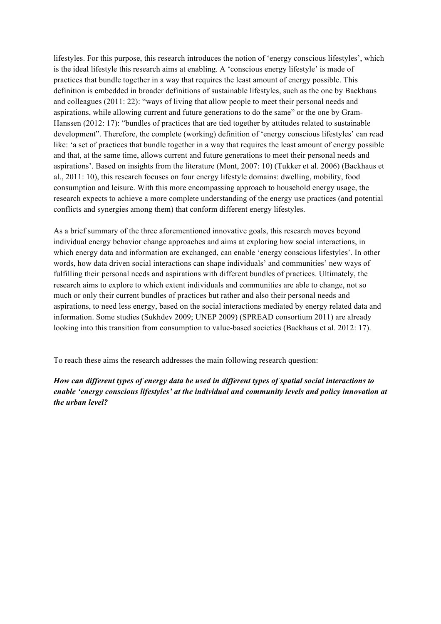lifestyles. For this purpose, this research introduces the notion of 'energy conscious lifestyles', which is the ideal lifestyle this research aims at enabling. A 'conscious energy lifestyle' is made of practices that bundle together in a way that requires the least amount of energy possible. This definition is embedded in broader definitions of sustainable lifestyles, such as the one by Backhaus and colleagues (2011: 22): "ways of living that allow people to meet their personal needs and aspirations, while allowing current and future generations to do the same" or the one by Gram-Hanssen (2012: 17): "bundles of practices that are tied together by attitudes related to sustainable development". Therefore, the complete (working) definition of 'energy conscious lifestyles' can read like: 'a set of practices that bundle together in a way that requires the least amount of energy possible and that, at the same time, allows current and future generations to meet their personal needs and aspirations'. Based on insights from the literature (Mont, 2007: 10) (Tukker et al. 2006) (Backhaus et al., 2011: 10), this research focuses on four energy lifestyle domains: dwelling, mobility, food consumption and leisure. With this more encompassing approach to household energy usage, the research expects to achieve a more complete understanding of the energy use practices (and potential conflicts and synergies among them) that conform different energy lifestyles.

As a brief summary of the three aforementioned innovative goals, this research moves beyond individual energy behavior change approaches and aims at exploring how social interactions, in which energy data and information are exchanged, can enable 'energy conscious lifestyles'. In other words, how data driven social interactions can shape individuals' and communities' new ways of fulfilling their personal needs and aspirations with different bundles of practices. Ultimately, the research aims to explore to which extent individuals and communities are able to change, not so much or only their current bundles of practices but rather and also their personal needs and aspirations, to need less energy, based on the social interactions mediated by energy related data and information. Some studies (Sukhdev 2009; UNEP 2009) (SPREAD consortium 2011) are already looking into this transition from consumption to value-based societies (Backhaus et al. 2012: 17).

To reach these aims the research addresses the main following research question:

*How can different types of energy data be used in different types of spatial social interactions to enable 'energy conscious lifestyles' at the individual and community levels and policy innovation at the urban level?*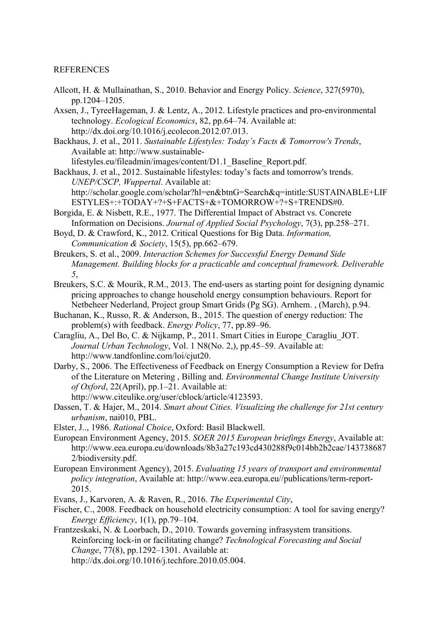# REFERENCES

Allcott, H. & Mullainathan, S., 2010. Behavior and Energy Policy. *Science*, 327(5970), pp.1204–1205.

Axsen, J., TyreeHageman, J. & Lentz, A., 2012. Lifestyle practices and pro-environmental technology. *Ecological Economics*, 82, pp.64–74. Available at: http://dx.doi.org/10.1016/j.ecolecon.2012.07.013.

Backhaus, J. et al., 2011. *Sustainable Lifestyles: Today's Facts & Tomorrow's Trends*, Available at: http://www.sustainablelifestyles.eu/fileadmin/images/content/D1.1\_Baseline\_Report.pdf.

Backhaus, J. et al., 2012. Sustainable lifestyles: today's facts and tomorrow's trends. *UNEP/CSCP, Wuppertal*. Available at: http://scholar.google.com/scholar?hl=en&btnG=Search&q=intitle:SUSTAINABLE+LIF ESTYLES+:+TODAY+?+S+FACTS+&+TOMORROW+?+S+TRENDS#0.

Borgida, E. & Nisbett, R.E., 1977. The Differential Impact of Abstract vs. Concrete Information on Decisions. *Journal of Applied Social Psychology*, 7(3), pp.258–271.

Boyd, D. & Crawford, K., 2012. Critical Questions for Big Data. *Information, Communication & Society*, 15(5), pp.662–679.

Breukers, S. et al., 2009. *Interaction Schemes for Successful Energy Demand Side Management. Building blocks for a practicable and conceptual framework. Deliverable 5*,

- Breukers, S.C. & Mourik, R.M., 2013. The end-users as starting point for designing dynamic pricing approaches to change household energy consumption behaviours. Report for Netbeheer Nederland, Project group Smart Grids (Pg SG). Arnhem. , (March), p.94.
- Buchanan, K., Russo, R. & Anderson, B., 2015. The question of energy reduction: The problem(s) with feedback. *Energy Policy*, 77, pp.89–96.
- Caragliu, A., Del Bo, C. & Nijkamp, P., 2011. Smart Cities in Europe\_Caragliu\_JOT. *Journal Urban Technology*, Vol. 1 N8(No. 2,), pp.45–59. Available at: http://www.tandfonline.com/loi/cjut20.
- Darby, S., 2006. The Effectiveness of Feedback on Energy Consumption a Review for Defra of the Literature on Metering , Billing and. *Environmental Change Institute University of Oxford*, 22(April), pp.1–21. Available at:
	- http://www.citeulike.org/user/cblock/article/4123593.
- Dassen, T. & Hajer, M., 2014. *Smart about Cities. Visualizing the challenge for 21st century urbanism*, nai010, PBL.
- Elster, J.., 1986. *Rational Choice*, Oxford: Basil Blackwell.
- European Environment Agency, 2015. *SOER 2015 European briefings Energy*, Available at: http://www.eea.europa.eu/downloads/8b3a27c193cd430288f9c014bb2b2cae/143738687 2/biodiversity.pdf.
- European Environment Agency), 2015. *Evaluating 15 years of transport and environmental policy integration*, Available at: http://www.eea.europa.eu//publications/term-report-2015.
- Evans, J., Karvoren, A. & Raven, R., 2016. *The Experimental City*,

Fischer, C., 2008. Feedback on household electricity consumption: A tool for saving energy? *Energy Efficiency*, 1(1), pp.79–104.

Frantzeskaki, N. & Loorbach, D., 2010. Towards governing infrasystem transitions. Reinforcing lock-in or facilitating change? *Technological Forecasting and Social Change*, 77(8), pp.1292–1301. Available at: http://dx.doi.org/10.1016/j.techfore.2010.05.004.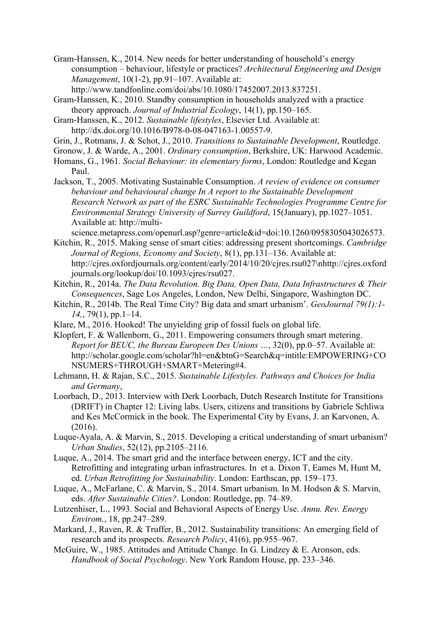Gram-Hanssen, K., 2014. New needs for better understanding of household's energy consumption – behaviour, lifestyle or practices? *Architectural Engineering and Design Management*, 10(1-2), pp.91–107. Available at:

http://www.tandfonline.com/doi/abs/10.1080/17452007.2013.837251.

Gram-Hanssen, K., 2010. Standby consumption in households analyzed with a practice theory approach. *Journal of Industrial Ecology*, 14(1), pp.150–165.

Gram-Hanssen, K., 2012. *Sustainable lifestyles*, Elsevier Ltd. Available at: http://dx.doi.org/10.1016/B978-0-08-047163-1.00557-9.

Grin, J., Rotmans, J. & Schot, J., 2010. *Transitions to Sustainable Development*, Routledge.

Gronow, J. & Warde, A., 2001. *Ordinary consumption*, Berkshire, UK: Harwood Academic.

- Homans, G., 1961. *Social Behaviour: its elementary forms*, London: Routledge and Kegan Paul.
- Jackson, T., 2005. Motivating Sustainable Consumption. *A review of evidence on consumer behaviour and behavioural change In A report to the Sustainable Development Research Network as part of the ESRC Sustainable Technologies Programme Centre for Environmental Strategy University of Surrey Guildford*, 15(January), pp.1027–1051. Available at: http://multi-
- science.metapress.com/openurl.asp?genre=article&id=doi:10.1260/0958305043026573. Kitchin, R., 2015. Making sense of smart cities: addressing present shortcomings. *Cambridge*
- *Journal of Regions, Economy and Society*, 8(1), pp.131–136. Available at: http://cjres.oxfordjournals.org/content/early/2014/10/20/cjres.rsu027\nhttp://cjres.oxford journals.org/lookup/doi/10.1093/cjres/rsu027.
- Kitchin, R., 2014a. *The Data Revolution. Big Data, Open Data, Data Infrastructures & Their Consequences*, Sage Los Angeles, London, New Delhi, Singapore, Washington DC.
- Kitchin, R., 2014b. The Real Time City? Big data and smart urbanism'. *GeoJournal 79(1):1- 14,*, 79(1), pp.1–14.
- Klare, M., 2016. Hooked! The unyielding grip of fossil fuels on global life.
- Klopfert, F. & Wallenborn, G., 2011. Empowering consumers through smart metering. *Report for BEUC, the Bureau Europeen Des Unions …*, 32(0), pp.0–57. Available at: http://scholar.google.com/scholar?hl=en&btnG=Search&q=intitle:EMPOWERING+CO NSUMERS+THROUGH+SMART+Metering#4.
- Lehmann, H. & Rajan, S.C., 2015. *Sustainable Lifestyles. Pathways and Choices for India and Germany*,
- Loorbach, D., 2013. Interview with Derk Loorbach, Dutch Research Institute for Transitions (DRIFT) in Chapter 12: Living labs. Users, citizens and transitions by Gabriele Schliwa and Kes McCormick in the book. The Experimental City by Evans, J. an Karvonen, A. (2016).
- Luque-Ayala, A. & Marvin, S., 2015. Developing a critical understanding of smart urbanism? *Urban Studies*, 52(12), pp.2105–2116.
- Luque, A., 2014. The smart grid and the interface between energy, ICT and the city. Retrofitting and integrating urban infrastructures. In et a. Dixon T, Eames M, Hunt M, ed. *Urban Retrofitting for Sustainability*. London: Earthscan, pp. 159–173.
- Luque, A., McFarlane, C. & Marvin, S., 2014. Smart urbanism. In M. Hodson & S. Marvin, eds. *After Sustainable Cities?*. London: Routledge, pp. 74–89.
- Lutzenhiser, L., 1993. Social and Behavioral Aspects of Energy Use. *Annu. Rev. Energy Envirom.*, 18, pp.247–289.
- Markard, J., Raven, R. & Truffer, B., 2012. Sustainability transitions: An emerging field of research and its prospects. *Research Policy*, 41(6), pp.955–967.
- McGuire, W., 1985. Attitudes and Attitude Change. In G. Lindzey & E. Aronson, eds. *Handbook of Social Psychology*. New York Random House, pp. 233–346.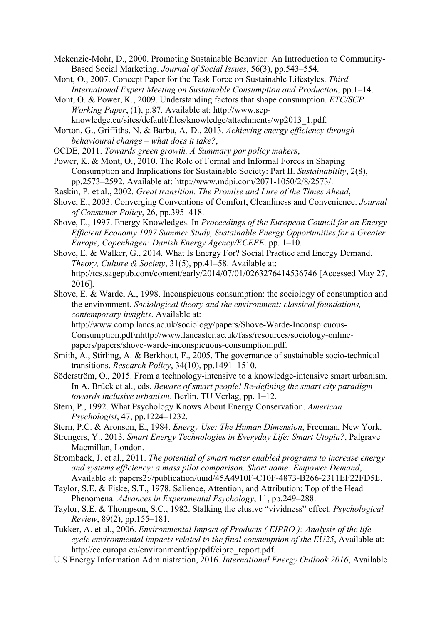Mckenzie-Mohr, D., 2000. Promoting Sustainable Behavior: An Introduction to Community-Based Social Marketing. *Journal of Social Issues*, 56(3), pp.543–554.

Mont, O., 2007. Concept Paper for the Task Force on Sustainable Lifestyles. *Third International Expert Meeting on Sustainable Consumption and Production*, pp.1–14.

Mont, O. & Power, K., 2009. Understanding factors that shape consumption. *ETC/SCP Working Paper*, (1), p.87. Available at: http://www.scpknowledge.eu/sites/default/files/knowledge/attachments/wp2013\_1.pdf.

Morton, G., Griffiths, N. & Barbu, A.-D., 2013. *Achieving energy efficiency through behavioural change – what does it take?*,

OCDE, 2011. *Towards green growth. A Summary por policy makers*,

Power, K. & Mont, O., 2010. The Role of Formal and Informal Forces in Shaping Consumption and Implications for Sustainable Society: Part II. *Sustainability*, 2(8), pp.2573–2592. Available at: http://www.mdpi.com/2071-1050/2/8/2573/.

Raskin, P. et al., 2002. *Great transition. The Promise and Lure of the Times Ahead*,

- Shove, E., 2003. Converging Conventions of Comfort, Cleanliness and Convenience. *Journal of Consumer Policy*, 26, pp.395–418.
- Shove, E., 1997. Energy Knowledges. In *Proceedings of the European Council for an Energy Efficient Economy 1997 Summer Study, Sustainable Energy Opportunities for a Greater Europe, Copenhagen: Danish Energy Agency/ECEEE*. pp. 1–10.

Shove, E. & Walker, G., 2014. What Is Energy For? Social Practice and Energy Demand. *Theory, Culture & Society*, 31(5), pp.41–58. Available at: http://tcs.sagepub.com/content/early/2014/07/01/0263276414536746 [Accessed May 27, 2016].

Shove, E. & Warde, A., 1998. Inconspicuous consumption: the sociology of consumption and the environment. *Sociological theory and the environment: classical foundations, contemporary insights*. Available at:

http://www.comp.lancs.ac.uk/sociology/papers/Shove-Warde-Inconspicuous-Consumption.pdf\nhttp://www.lancaster.ac.uk/fass/resources/sociology-onlinepapers/papers/shove-warde-inconspicuous-consumption.pdf.

Smith, A., Stirling, A. & Berkhout, F., 2005. The governance of sustainable socio-technical transitions. *Research Policy*, 34(10), pp.1491–1510.

Söderström, O., 2015. From a technology-intensive to a knowledge-intensive smart urbanism. In A. Brück et al., eds. *Beware of smart people! Re-defining the smart city paradigm towards inclusive urbanism*. Berlin, TU Verlag, pp. 1–12.

Stern, P., 1992. What Psychology Knows About Energy Conservation. *American Psychologist*, 47, pp.1224–1232.

Stern, P.C. & Aronson, E., 1984. *Energy Use: The Human Dimension*, Freeman, New York.

Strengers, Y., 2013. *Smart Energy Technologies in Everyday Life: Smart Utopia?*, Palgrave Macmillan, London.

Stromback, J. et al., 2011. *The potential of smart meter enabled programs to increase energy and systems efficiency: a mass pilot comparison. Short name: Empower Demand*, Available at: papers2://publication/uuid/45A4910F-C10F-4873-B266-2311EF22FD5E.

Taylor, S.E. & Fiske, S.T., 1978. Salience, Attention, and Attribution: Top of the Head Phenomena. *Advances in Experimental Psychology*, 11, pp.249–288.

Taylor, S.E. & Thompson, S.C., 1982. Stalking the elusive "vividness" effect. *Psychological Review*, 89(2), pp.155–181.

Tukker, A. et al., 2006. *Environmental Impact of Products ( EIPRO ): Analysis of the life cycle environmental impacts related to the final consumption of the EU25*, Available at: http://ec.europa.eu/environment/ipp/pdf/eipro\_report.pdf.

U.S Energy Information Administration, 2016. *International Energy Outlook 2016*, Available